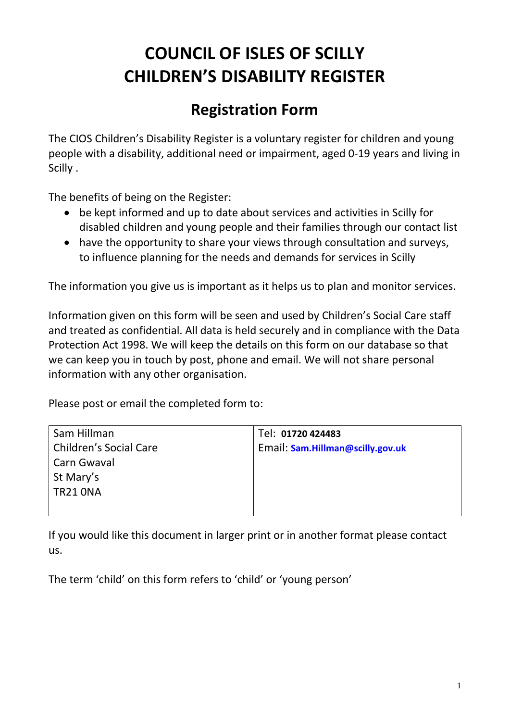# **COUNCIL OF ISLES OF SCILLY CHILDREN'S DISABILITY REGISTER**

## **Registration Form**

The CIOS Children's Disability Register is a voluntary register for children and young people with a disability, additional need or impairment, aged 0-19 years and living in Scilly .

The benefits of being on the Register:

- be kept informed and up to date about services and activities in Scilly for disabled children and young people and their families through our contact list
- have the opportunity to share your views through consultation and surveys, to influence planning for the needs and demands for services in Scilly

The information you give us is important as it helps us to plan and monitor services.

Information given on this form will be seen and used by Children's Social Care staff and treated as confidential. All data is held securely and in compliance with the Data Protection Act 1998. We will keep the details on this form on our database so that we can keep you in touch by post, phone and email. We will not share personal information with any other organisation.

Please post or email the completed form to:

| Sam Hillman            | Tel: 01720 424483                |
|------------------------|----------------------------------|
| Children's Social Care | Email: Sam.Hillman@scilly.gov.uk |
| Carn Gwaval            |                                  |
| St Mary's              |                                  |
| TR21 ONA               |                                  |
|                        |                                  |

If you would like this document in larger print or in another format please contact us.

The term 'child' on this form refers to 'child' or 'young person'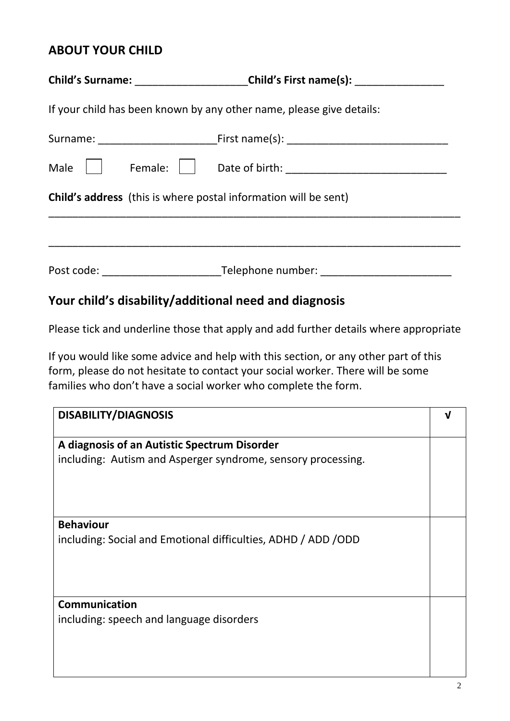#### **ABOUT YOUR CHILD**

|                                                                 | Child's Surname: ________________________Child's First name(s): ________________ |  |  |  |
|-----------------------------------------------------------------|----------------------------------------------------------------------------------|--|--|--|
|                                                                 | If your child has been known by any other name, please give details:             |  |  |  |
|                                                                 |                                                                                  |  |  |  |
| Male                                                            |                                                                                  |  |  |  |
| Child's address (this is where postal information will be sent) |                                                                                  |  |  |  |
|                                                                 |                                                                                  |  |  |  |
|                                                                 | Post code: Telephone number: Telephone number:                                   |  |  |  |

### **Your child's disability/additional need and diagnosis**

Please tick and underline those that apply and add further details where appropriate

If you would like some advice and help with this section, or any other part of this form, please do not hesitate to contact your social worker. There will be some families who don't have a social worker who complete the form.

| <b>DISABILITY/DIAGNOSIS</b>                                    | V |
|----------------------------------------------------------------|---|
| A diagnosis of an Autistic Spectrum Disorder                   |   |
| including: Autism and Asperger syndrome, sensory processing.   |   |
|                                                                |   |
|                                                                |   |
| <b>Behaviour</b>                                               |   |
| including: Social and Emotional difficulties, ADHD / ADD / ODD |   |
|                                                                |   |
|                                                                |   |
|                                                                |   |
|                                                                |   |
| Communication                                                  |   |
| including: speech and language disorders                       |   |
|                                                                |   |
|                                                                |   |
|                                                                |   |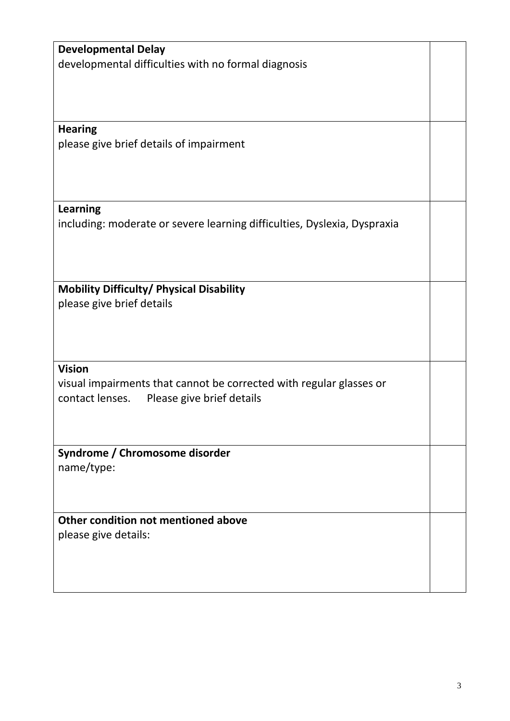| <b>Developmental Delay</b>                                               |  |
|--------------------------------------------------------------------------|--|
| developmental difficulties with no formal diagnosis                      |  |
|                                                                          |  |
|                                                                          |  |
|                                                                          |  |
|                                                                          |  |
| <b>Hearing</b>                                                           |  |
| please give brief details of impairment                                  |  |
|                                                                          |  |
|                                                                          |  |
|                                                                          |  |
|                                                                          |  |
| <b>Learning</b>                                                          |  |
| including: moderate or severe learning difficulties, Dyslexia, Dyspraxia |  |
|                                                                          |  |
|                                                                          |  |
|                                                                          |  |
|                                                                          |  |
| Mobility Difficulty/ Physical Disability                                 |  |
|                                                                          |  |
| please give brief details                                                |  |
|                                                                          |  |
|                                                                          |  |
|                                                                          |  |
| <b>Vision</b>                                                            |  |
|                                                                          |  |
| visual impairments that cannot be corrected with regular glasses or      |  |
| Please give brief details<br>contact lenses.                             |  |
|                                                                          |  |
|                                                                          |  |
|                                                                          |  |
| Syndrome / Chromosome disorder                                           |  |
| name/type:                                                               |  |
|                                                                          |  |
|                                                                          |  |
|                                                                          |  |
| Other condition not mentioned above                                      |  |
| please give details:                                                     |  |
|                                                                          |  |
|                                                                          |  |
|                                                                          |  |
|                                                                          |  |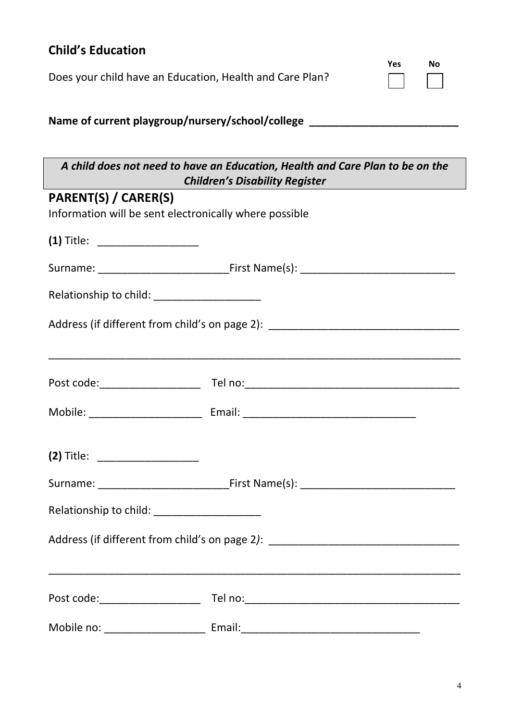| <b>Child's Education</b>                                               |                                                                                                                        |  | No |
|------------------------------------------------------------------------|------------------------------------------------------------------------------------------------------------------------|--|----|
| <b>Yes</b><br>Does your child have an Education, Health and Care Plan? |                                                                                                                        |  |    |
|                                                                        | Name of current playgroup/nursery/school/college _______________________________                                       |  |    |
|                                                                        | A child does not need to have an Education, Health and Care Plan to be on the<br><b>Children's Disability Register</b> |  |    |
| PARENT(S) / CARER(S)                                                   |                                                                                                                        |  |    |
| Information will be sent electronically where possible                 |                                                                                                                        |  |    |
| (1) Title: ____________________                                        |                                                                                                                        |  |    |
|                                                                        |                                                                                                                        |  |    |
| Relationship to child: ______________________                          |                                                                                                                        |  |    |
|                                                                        | Address (if different from child's on page 2): _________________________________                                       |  |    |
|                                                                        |                                                                                                                        |  |    |
|                                                                        |                                                                                                                        |  |    |
|                                                                        |                                                                                                                        |  |    |
|                                                                        |                                                                                                                        |  |    |
| Relationship to child: ______________________                          |                                                                                                                        |  |    |
|                                                                        | Address (if different from child's on page 2): __________________________________                                      |  |    |
|                                                                        |                                                                                                                        |  |    |
|                                                                        |                                                                                                                        |  |    |